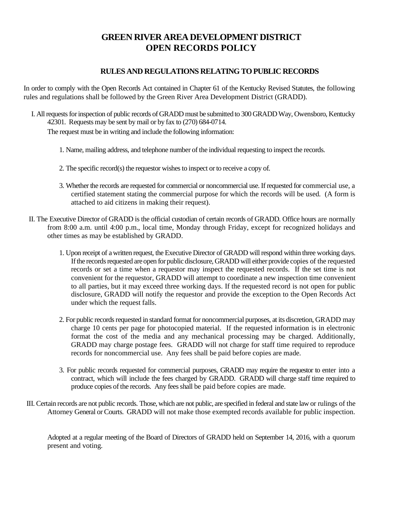## **GREEN RIVER AREA DEVELOPMENT DISTRICT OPEN RECORDS POLICY**

## **RULES AND REGULATIONS RELATING TO PUBLIC RECORDS**

In order to comply with the Open Records Act contained in Chapter 61 of the Kentucky Revised Statutes, the following rules and regulations shall be followed by the Green River Area Development District (GRADD).

- I. All requests for inspection of public records of GRADD must be submitted to 300 GRADD Way, Owensboro, Kentucky 42301. Requests may be sent by mail or by fax to (270) 684-0714. The request must be in writing and include the following information:
	- 1. Name, mailing address, and telephone number of the individual requesting to inspect the records.
	- 2. The specific record(s) the requestor wishes to inspect or to receive a copy of.
	- 3. Whether the records are requested for commercial or noncommercial use. If requested for commercial use, a certified statement stating the commercial purpose for which the records will be used. (A form is attached to aid citizens in making their request).
- II. The Executive Director of GRADD is the official custodian of certain records of GRADD. Office hours are normally from 8:00 a.m. until 4:00 p.m., local time, Monday through Friday, except for recognized holidays and other times as may be established by GRADD.
	- 1. Upon receipt of a written request, the Executive Director of GRADD will respond within three working days. If the records requested are open for public disclosure, GRADD will either provide copies of the requested records or set a time when a requestor may inspect the requested records. If the set time is not convenient for the requestor, GRADD will attempt to coordinate a new inspection time convenient to all parties, but it may exceed three working days. If the requested record is not open for public disclosure, GRADD will notify the requestor and provide the exception to the Open Records Act under which the request falls.
	- 2. For public records requested in standard format for noncommercial purposes, at its discretion, GRADD may charge 10 cents per page for photocopied material. If the requested information is in electronic format the cost of the media and any mechanical processing may be charged. Additionally, GRADD may charge postage fees. GRADD will not charge for staff time required to reproduce records for noncommercial use. Any fees shall be paid before copies are made.
	- 3. For public records requested for commercial purposes, GRADD may require the requestor to enter into a contract, which will include the fees charged by GRADD. GRADD will charge staff time required to produce copies of the records. Any fees shall be paid before copies are made.
- III. Certain records are not public records. Those, which are not public, are specified in federal and state law or rulings of the Attorney General or Courts. GRADD will not make those exempted records available for public inspection.

Adopted at a regular meeting of the Board of Directors of GRADD held on September 14, 2016, with a quorum present and voting.